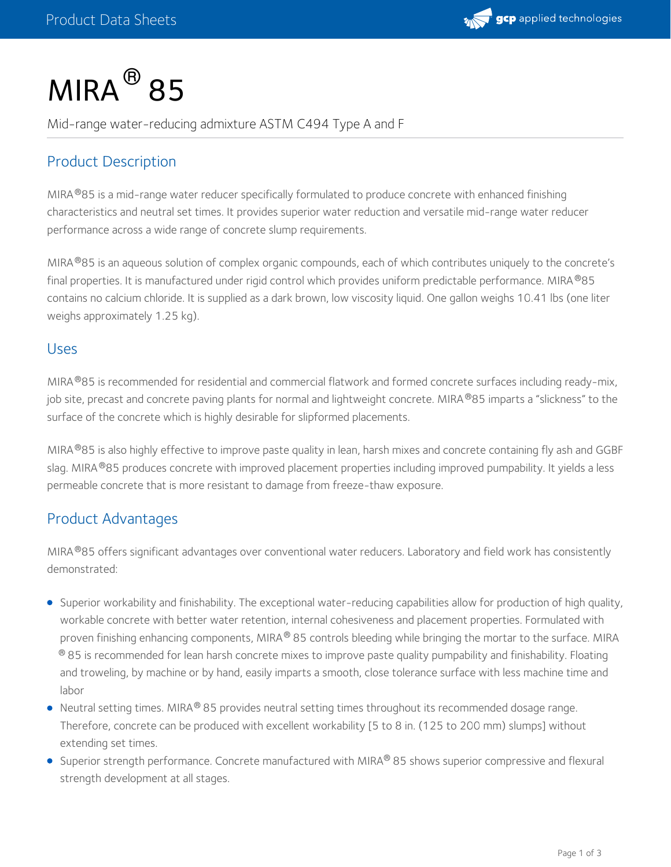

# $MIRA<sup>®</sup> 85$

Mid-range water-reducing admixture ASTM C494 Type A and F

# Product Description

MIRA®85 is a mid-range water reducer specifically formulated to produce concrete with enhanced finishing characteristics and neutral set times. It provides superior water reduction and versatile mid-range water reducer performance across a wide range of concrete slump requirements.

MIRA®85 is an aqueous solution of complex organic compounds, each of which contributes uniquely to the concrete's final properties. It is manufactured under rigid control which provides uniform predictable performance. MIRA®85 contains no calcium chloride. It is supplied as a dark brown, low viscosity liquid. One gallon weighs 10.41 lbs (one liter weighs approximately 1.25 kg).

#### Uses

MIRA®85 is recommended for residential and commercial flatwork and formed concrete surfaces including ready-mix, job site, precast and concrete paving plants for normal and lightweight concrete. MIRA®85 imparts a "slickness" to the surface of the concrete which is highly desirable for slipformed placements.

MIRA®85 is also highly effective to improve paste quality in lean, harsh mixes and concrete containing fly ash and GGBF slag. MIRA®85 produces concrete with improved placement properties including improved pumpability. It yields a less permeable concrete that is more resistant to damage from freeze-thaw exposure.

## Product Advantages

MIRA $^\circledR$ 85 offers significant advantages over conventional water reducers. Laboratory and field work has consistently demonstrated:

- Superior workability and finishability. The exceptional water-reducing capabilities allow for production of high quality, workable concrete with better water retention, internal cohesiveness and placement properties. Formulated with proven finishing enhancing components, MIRA $^\circledR$  85 controls bleeding while bringing the mortar to the surface. MIRA  $^\circledR$  85 is recommended for lean harsh concrete mixes to improve paste quality pumpability and finishability. Floating and troweling, by machine or by hand, easily imparts a smooth, close tolerance surface with less machine time and labor
- Neutral setting times. MIRA® 85 provides neutral setting times throughout its recommended dosage range.  $\,$ Therefore, concrete can be produced with excellent workability [5 to 8 in. (125 to 200 mm) slumps] without extending set times.
- Superior strength performance. Concrete manufactured with MIRA® 85 shows superior compressive and flexural strength development at all stages.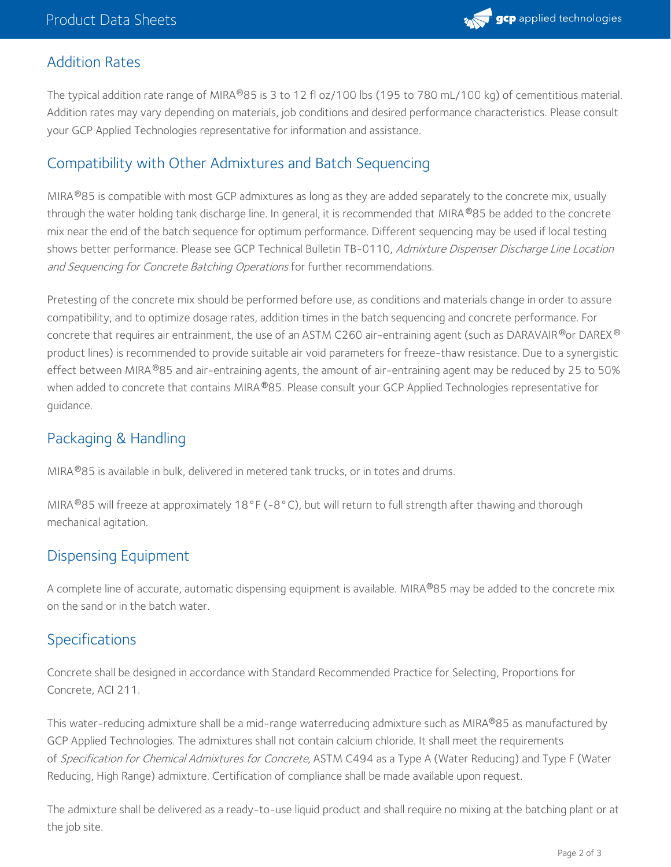

## Addition Rates

The typical addition rate range of MIRA®85 is 3 to 12 fl oz/100 lbs (195 to 780 mL/100 kg) of cementitious material. Addition rates may vary depending on materials, job conditions and desired performance characteristics. Please consult your GCP Applied Technologies representative for information and assistance.

## Compatibility with Other Admixtures and Batch Sequencing

MIRA $^{\circledR}$ 85 is compatible with most GCP admixtures as long as they are added separately to the concrete mix, usually through the water holding tank discharge line. In general, it is recommended that MIRA  $^\circ$ 85 be added to the concrete mix near the end of the batch sequence for optimum performance. Different sequencing may be used if local testing shows better performance. Please see GCP Technical Bulletin TB-0110, Admixture Dispenser Discharge Line Location and Sequencing for Concrete Batching Operations for further recommendations.

Pretesting of the concrete mix should be performed before use, as conditions and materials change in order to assure compatibility, and to optimize dosage rates, addition times in the batch sequencing and concrete performance. For concrete that requires air entrainment, the use of an ASTM C260 air-entraining agent (such as DARAVAIR $^\circ$ or DAREX $^\circ$ product lines) is recommended to provide suitable air void parameters for freeze-thaw resistance. Due to a synergistic effect between MIRA®85 and air-entraining agents, the amount of air-entraining agent may be reduced by 25 to 50% when added to concrete that contains MIRA®85. Please consult your GCP Applied Technologies representative for guidance.

## Packaging & Handling

MIRA $^{\circledR}$ 85 is available in bulk, delivered in metered tank trucks, or in totes and drums.

MIRA $^{\circledR}$ 85 will freeze at approximately 18°F (-8°C), but will return to full strength after thawing and thorough mechanical agitation.

## Dispensing Equipment

A complete line of accurate, automatic dispensing equipment is available. MIRA®85 may be added to the concrete mix on the sand or in the batch water.

## Specifications

Concrete shall be designed in accordance with Standard Recommended Practice for Selecting, Proportions for Concrete, ACI 211.

This water-reducing admixture shall be a mid-range waterreducing admixture such as MIRA®85 as manufactured by GCP Applied Technologies. The admixtures shall not contain calcium chloride. It shall meet the requirements of Specification for Chemical Admixtures for Concrete, ASTM C494 as a Type A (Water Reducing) and Type F (Water Reducing, High Range) admixture. Certification of compliance shall be made available upon request.

The admixture shall be delivered as a ready-to-use liquid product and shall require no mixing at the batching plant or at the job site.